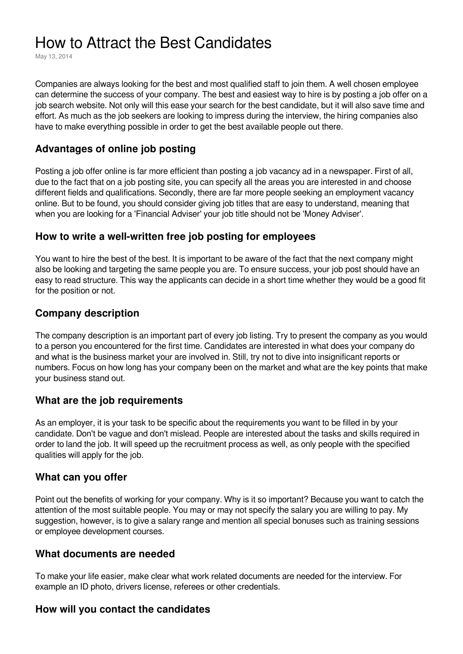# How to Attract the Best Candidates

May 13, 2014

Companies are always looking for the best and most qualified staff to join them. A well chosen employee can determine the success of your company. The best and easiest way to hire is by posting a job offer on a job search website. Not only will this ease your search for the best candidate, but it will also save time and effort. As much as the job seekers are looking to impress during the interview, the hiring companies also have to make everything possible in order to get the best available people out there.

## **Advantages of online job posting**

Posting a job offer online is far more efficient than posting a job vacancy ad in a newspaper. First of all, due to the fact that on a job posting site, you can specify all the areas you are interested in and choose different fields and qualifications. Secondly, there are far more people seeking an employment vacancy online. But to be found, you should consider giving job titles that are easy to understand, meaning that when you are looking for a 'Financial Adviser' your job title should not be 'Money Adviser'.

### **How to write a well-written free job posting for employees**

You want to hire the best of the best. It is important to be aware of the fact that the next company might also be looking and targeting the same people you are. To ensure success, your job post should have an easy to read structure. This way the applicants can decide in a short time whether they would be a good fit for the position or not.

## **Company description**

The company description is an important part of every job listing. Try to present the company as you would to a person you encountered for the first time. Candidates are interested in what does your company do and what is the business market your are involved in. Still, try not to dive into insignificant reports or numbers. Focus on how long has your company been on the market and what are the key points that make your business stand out.

### **What are the job requirements**

As an employer, it is your task to be specific about the requirements you want to be filled in by your candidate. Don't be vague and don't mislead. People are interested about the tasks and skills required in order to land the job. It will speed up the recruitment process as well, as only people with the specified qualities will apply for the job.

#### **What can you offer**

Point out the benefits of working for your company. Why is it so important? Because you want to catch the attention of the most suitable people. You may or may not specify the salary you are willing to pay. My suggestion, however, is to give a salary range and mention all special bonuses such as training sessions or employee development courses.

#### **What documents are needed**

To make your life easier, make clear what work related documents are needed for the interview. For example an ID photo, drivers license, referees or other credentials.

### **How will you contact the candidates**